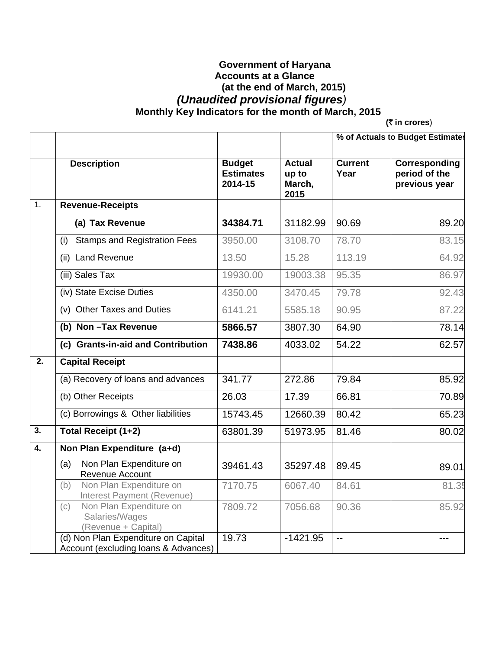## **Government of Haryana Accounts at a Glance (at the end of March, 2015)**   *(Unaudited provisional figures)*   **Monthly Key Indicators for the month of March, 2015**

**(₹ in crores**)

|                  |                                                                             |                                              |                                          | % of Actuals to Budget Estimates |                                                 |
|------------------|-----------------------------------------------------------------------------|----------------------------------------------|------------------------------------------|----------------------------------|-------------------------------------------------|
|                  | <b>Description</b>                                                          | <b>Budget</b><br><b>Estimates</b><br>2014-15 | <b>Actual</b><br>up to<br>March,<br>2015 | <b>Current</b><br>Year           | Corresponding<br>period of the<br>previous year |
| 1.               | <b>Revenue-Receipts</b>                                                     |                                              |                                          |                                  |                                                 |
|                  | (a) Tax Revenue                                                             | 34384.71                                     | 31182.99                                 | 90.69                            | 89.20                                           |
|                  | <b>Stamps and Registration Fees</b><br>(i)                                  | 3950.00                                      | 3108.70                                  | 78.70                            | 83.15                                           |
|                  | (ii) Land Revenue                                                           | 13.50                                        | 15.28                                    | 113.19                           | 64.92                                           |
|                  | (iii) Sales Tax                                                             | 19930.00                                     | 19003.38                                 | 95.35                            | 86.97                                           |
|                  | (iv) State Excise Duties                                                    | 4350.00                                      | 3470.45                                  | 79.78                            | 92.43                                           |
|                  | (v) Other Taxes and Duties                                                  | 6141.21                                      | 5585.18                                  | 90.95                            | 87.22                                           |
|                  | (b) Non-Tax Revenue                                                         | 5866.57                                      | 3807.30                                  | 64.90                            | 78.14                                           |
|                  | (c) Grants-in-aid and Contribution                                          | 7438.86                                      | 4033.02                                  | 54.22                            | 62.57                                           |
| $\overline{2}$ . | <b>Capital Receipt</b>                                                      |                                              |                                          |                                  |                                                 |
|                  | (a) Recovery of loans and advances                                          | 341.77                                       | 272.86                                   | 79.84                            | 85.92                                           |
|                  | (b) Other Receipts                                                          | 26.03                                        | 17.39                                    | 66.81                            | 70.89                                           |
|                  | (c) Borrowings & Other liabilities                                          | 15743.45                                     | 12660.39                                 | 80.42                            | 65.23                                           |
| 3.               | Total Receipt (1+2)                                                         | 63801.39                                     | 51973.95                                 | 81.46                            | 80.02                                           |
| 4.               | Non Plan Expenditure (a+d)                                                  |                                              |                                          |                                  |                                                 |
|                  | Non Plan Expenditure on<br>(a)<br>Revenue Account                           | 39461.43                                     | 35297.48                                 | 89.45                            | 89.01                                           |
|                  | Non Plan Expenditure on<br>(b)<br>Interest Payment (Revenue)                | 7170.75                                      | 6067.40                                  | 84.61                            | 81.35                                           |
|                  | Non Plan Expenditure on<br>(c)<br>Salaries/Wages<br>(Revenue + Capital)     | 7809.72                                      | 7056.68                                  | 90.36                            | 85.92                                           |
|                  | (d) Non Plan Expenditure on Capital<br>Account (excluding loans & Advances) | 19.73                                        | $-1421.95$                               | $-$                              |                                                 |